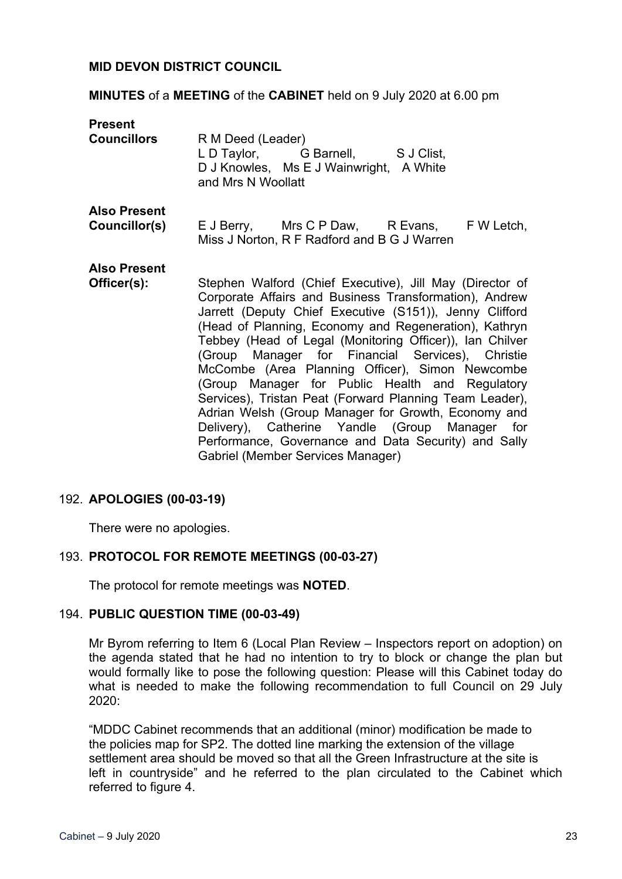### **MID DEVON DISTRICT COUNCIL**

### **MINUTES** of a **MEETING** of the **CABINET** held on 9 July 2020 at 6.00 pm

| <b>Present</b><br><b>Councillors</b> | R M Deed (Leader)<br>L D Taylor, G Barnell, S J Clist,<br>D J Knowles, Ms E J Wainwright, A White<br>and Mrs N Woollatt                                                                                                                                                                                                                                                                                                                                                                                                                                                                                                                                                                                                       |
|--------------------------------------|-------------------------------------------------------------------------------------------------------------------------------------------------------------------------------------------------------------------------------------------------------------------------------------------------------------------------------------------------------------------------------------------------------------------------------------------------------------------------------------------------------------------------------------------------------------------------------------------------------------------------------------------------------------------------------------------------------------------------------|
| <b>Also Present</b><br>Councillor(s) | E J Berry, Mrs C P Daw, R Evans, F W Letch,<br>Miss J Norton, R F Radford and B G J Warren                                                                                                                                                                                                                                                                                                                                                                                                                                                                                                                                                                                                                                    |
| <b>Also Present</b><br>Officer(s):   | Stephen Walford (Chief Executive), Jill May (Director of<br>Corporate Affairs and Business Transformation), Andrew<br>Jarrett (Deputy Chief Executive (S151)), Jenny Clifford<br>(Head of Planning, Economy and Regeneration), Kathryn<br>Tebbey (Head of Legal (Monitoring Officer)), Ian Chilver<br>(Group Manager for Financial Services), Christie<br>McCombe (Area Planning Officer), Simon Newcombe<br>(Group Manager for Public Health and Regulatory<br>Services), Tristan Peat (Forward Planning Team Leader),<br>Adrian Welsh (Group Manager for Growth, Economy and<br>Delivery), Catherine Yandle (Group Manager for<br>Performance, Governance and Data Security) and Sally<br>Gabriel (Member Services Manager) |

#### 192. **APOLOGIES (00-03-19)**

There were no apologies.

#### 193. **PROTOCOL FOR REMOTE MEETINGS (00-03-27)**

The protocol for remote meetings was **NOTED**.

#### 194. **PUBLIC QUESTION TIME (00-03-49)**

Mr Byrom referring to Item 6 (Local Plan Review – Inspectors report on adoption) on the agenda stated that he had no intention to try to block or change the plan but would formally like to pose the following question: Please will this Cabinet today do what is needed to make the following recommendation to full Council on 29 July  $2020$ 

"MDDC Cabinet recommends that an additional (minor) modification be made to the policies map for SP2. The dotted line marking the extension of the village settlement area should be moved so that all the Green Infrastructure at the site is left in countryside" and he referred to the plan circulated to the Cabinet which referred to figure 4.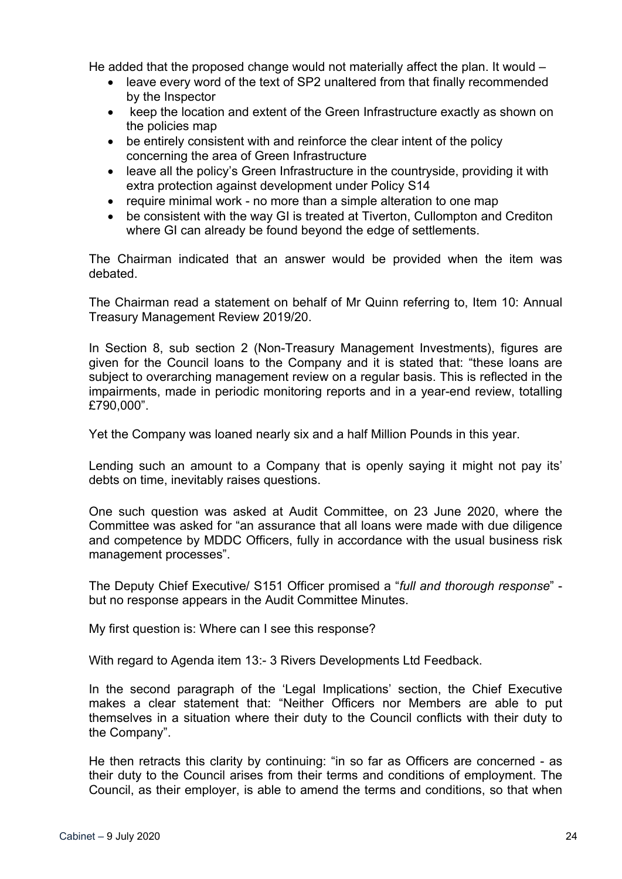He added that the proposed change would not materially affect the plan. It would –

- leave every word of the text of SP2 unaltered from that finally recommended by the Inspector
- keep the location and extent of the Green Infrastructure exactly as shown on the policies map
- be entirely consistent with and reinforce the clear intent of the policy concerning the area of Green Infrastructure
- leave all the policy's Green Infrastructure in the countryside, providing it with extra protection against development under Policy S14
- require minimal work no more than a simple alteration to one map
- be consistent with the way GI is treated at Tiverton, Cullompton and Crediton where GI can already be found beyond the edge of settlements.

The Chairman indicated that an answer would be provided when the item was debated.

The Chairman read a statement on behalf of Mr Quinn referring to, Item 10: Annual Treasury Management Review 2019/20.

In Section 8, sub section 2 (Non-Treasury Management Investments), figures are given for the Council loans to the Company and it is stated that: "these loans are subject to overarching management review on a regular basis. This is reflected in the impairments, made in periodic monitoring reports and in a year-end review, totalling £790,000".

Yet the Company was loaned nearly six and a half Million Pounds in this year.

Lending such an amount to a Company that is openly saying it might not pay its' debts on time, inevitably raises questions.

One such question was asked at Audit Committee, on 23 June 2020, where the Committee was asked for "an assurance that all loans were made with due diligence and competence by MDDC Officers, fully in accordance with the usual business risk management processes".

The Deputy Chief Executive/ S151 Officer promised a "*full and thorough response*" but no response appears in the Audit Committee Minutes.

My first question is: Where can I see this response?

With regard to Agenda item 13:- 3 Rivers Developments Ltd Feedback.

In the second paragraph of the 'Legal Implications' section, the Chief Executive makes a clear statement that: "Neither Officers nor Members are able to put themselves in a situation where their duty to the Council conflicts with their duty to the Company".

He then retracts this clarity by continuing: "in so far as Officers are concerned - as their duty to the Council arises from their terms and conditions of employment. The Council, as their employer, is able to amend the terms and conditions, so that when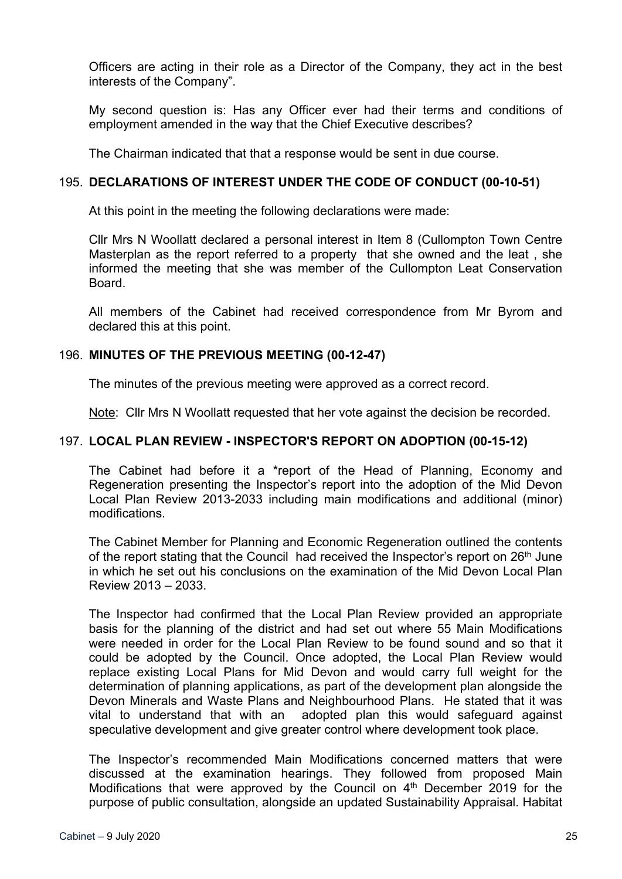Officers are acting in their role as a Director of the Company, they act in the best interests of the Company".

My second question is: Has any Officer ever had their terms and conditions of employment amended in the way that the Chief Executive describes?

The Chairman indicated that that a response would be sent in due course.

## 195. **DECLARATIONS OF INTEREST UNDER THE CODE OF CONDUCT (00-10-51)**

At this point in the meeting the following declarations were made:

Cllr Mrs N Woollatt declared a personal interest in Item 8 (Cullompton Town Centre Masterplan as the report referred to a property that she owned and the leat , she informed the meeting that she was member of the Cullompton Leat Conservation **Board** 

All members of the Cabinet had received correspondence from Mr Byrom and declared this at this point.

# 196. **MINUTES OF THE PREVIOUS MEETING (00-12-47)**

The minutes of the previous meeting were approved as a correct record.

Note: Cllr Mrs N Woollatt requested that her vote against the decision be recorded.

## 197. **LOCAL PLAN REVIEW - INSPECTOR'S REPORT ON ADOPTION (00-15-12)**

The Cabinet had before it a \*report of the Head of Planning, Economy and Regeneration presenting the Inspector's report into the adoption of the Mid Devon Local Plan Review 2013-2033 including main modifications and additional (minor) modifications.

The Cabinet Member for Planning and Economic Regeneration outlined the contents of the report stating that the Council had received the Inspector's report on 26<sup>th</sup> June in which he set out his conclusions on the examination of the Mid Devon Local Plan Review 2013 – 2033.

The Inspector had confirmed that the Local Plan Review provided an appropriate basis for the planning of the district and had set out where 55 Main Modifications were needed in order for the Local Plan Review to be found sound and so that it could be adopted by the Council. Once adopted, the Local Plan Review would replace existing Local Plans for Mid Devon and would carry full weight for the determination of planning applications, as part of the development plan alongside the Devon Minerals and Waste Plans and Neighbourhood Plans. He stated that it was vital to understand that with an adopted plan this would safeguard against speculative development and give greater control where development took place.

The Inspector's recommended Main Modifications concerned matters that were discussed at the examination hearings. They followed from proposed Main Modifications that were approved by the Council on 4<sup>th</sup> December 2019 for the purpose of public consultation, alongside an updated Sustainability Appraisal. Habitat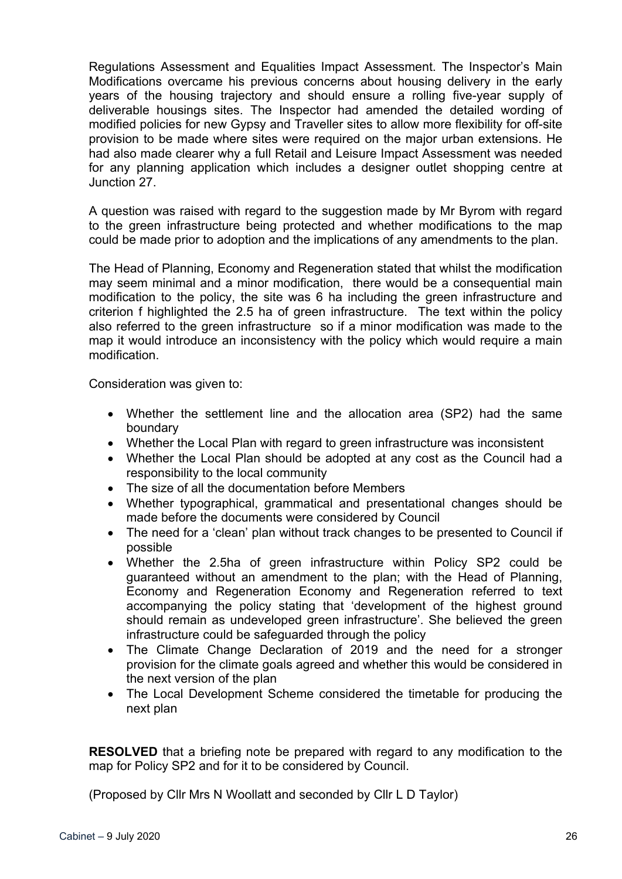Regulations Assessment and Equalities Impact Assessment. The Inspector's Main Modifications overcame his previous concerns about housing delivery in the early years of the housing trajectory and should ensure a rolling five-year supply of deliverable housings sites. The Inspector had amended the detailed wording of modified policies for new Gypsy and Traveller sites to allow more flexibility for off-site provision to be made where sites were required on the major urban extensions. He had also made clearer why a full Retail and Leisure Impact Assessment was needed for any planning application which includes a designer outlet shopping centre at Junction 27.

A question was raised with regard to the suggestion made by Mr Byrom with regard to the green infrastructure being protected and whether modifications to the map could be made prior to adoption and the implications of any amendments to the plan.

The Head of Planning, Economy and Regeneration stated that whilst the modification may seem minimal and a minor modification, there would be a consequential main modification to the policy, the site was 6 ha including the green infrastructure and criterion f highlighted the 2.5 ha of green infrastructure. The text within the policy also referred to the green infrastructure so if a minor modification was made to the map it would introduce an inconsistency with the policy which would require a main modification.

Consideration was given to:

- Whether the settlement line and the allocation area (SP2) had the same boundary
- Whether the Local Plan with regard to green infrastructure was inconsistent
- Whether the Local Plan should be adopted at any cost as the Council had a responsibility to the local community
- The size of all the documentation before Members
- Whether typographical, grammatical and presentational changes should be made before the documents were considered by Council
- The need for a 'clean' plan without track changes to be presented to Council if possible
- Whether the 2.5ha of green infrastructure within Policy SP2 could be guaranteed without an amendment to the plan; with the Head of Planning, Economy and Regeneration Economy and Regeneration referred to text accompanying the policy stating that 'development of the highest ground should remain as undeveloped green infrastructure'. She believed the green infrastructure could be safeguarded through the policy
- The Climate Change Declaration of 2019 and the need for a stronger provision for the climate goals agreed and whether this would be considered in the next version of the plan
- The Local Development Scheme considered the timetable for producing the next plan

**RESOLVED** that a briefing note be prepared with regard to any modification to the map for Policy SP2 and for it to be considered by Council.

(Proposed by Cllr Mrs N Woollatt and seconded by Cllr L D Taylor)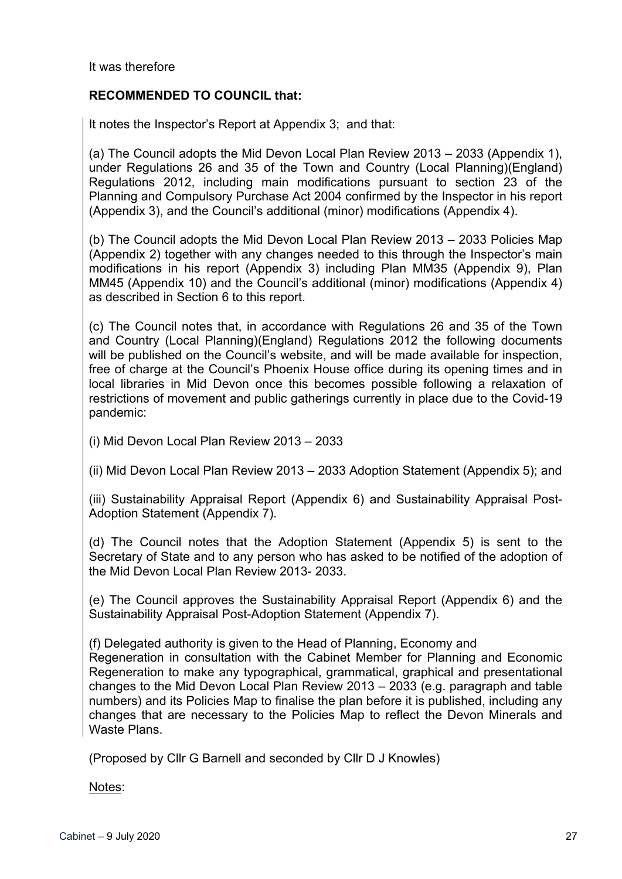It was therefore

# **RECOMMENDED TO COUNCIL that:**

It notes the Inspector's Report at Appendix 3; and that:

(a) The Council adopts the Mid Devon Local Plan Review 2013 – 2033 (Appendix 1), under Regulations 26 and 35 of the Town and Country (Local Planning)(England) Regulations 2012, including main modifications pursuant to section 23 of the Planning and Compulsory Purchase Act 2004 confirmed by the Inspector in his report (Appendix 3), and the Council's additional (minor) modifications (Appendix 4).

(b) The Council adopts the Mid Devon Local Plan Review 2013 – 2033 Policies Map (Appendix 2) together with any changes needed to this through the Inspector's main modifications in his report (Appendix 3) including Plan MM35 (Appendix 9), Plan MM45 (Appendix 10) and the Council's additional (minor) modifications (Appendix 4) as described in Section 6 to this report.

(c) The Council notes that, in accordance with Regulations 26 and 35 of the Town and Country (Local Planning)(England) Regulations 2012 the following documents will be published on the Council's website, and will be made available for inspection, free of charge at the Council's Phoenix House office during its opening times and in local libraries in Mid Devon once this becomes possible following a relaxation of restrictions of movement and public gatherings currently in place due to the Covid-19 pandemic:

(i) Mid Devon Local Plan Review 2013 – 2033

(ii) Mid Devon Local Plan Review 2013 – 2033 Adoption Statement (Appendix 5); and

(iii) Sustainability Appraisal Report (Appendix 6) and Sustainability Appraisal Post-Adoption Statement (Appendix 7).

(d) The Council notes that the Adoption Statement (Appendix 5) is sent to the Secretary of State and to any person who has asked to be notified of the adoption of the Mid Devon Local Plan Review 2013- 2033.

(e) The Council approves the Sustainability Appraisal Report (Appendix 6) and the Sustainability Appraisal Post-Adoption Statement (Appendix 7).

(f) Delegated authority is given to the Head of Planning, Economy and

Regeneration in consultation with the Cabinet Member for Planning and Economic Regeneration to make any typographical, grammatical, graphical and presentational changes to the Mid Devon Local Plan Review 2013 – 2033 (e.g. paragraph and table numbers) and its Policies Map to finalise the plan before it is published, including any changes that are necessary to the Policies Map to reflect the Devon Minerals and Waste Plans.

(Proposed by Cllr G Barnell and seconded by Cllr D J Knowles)

Notes: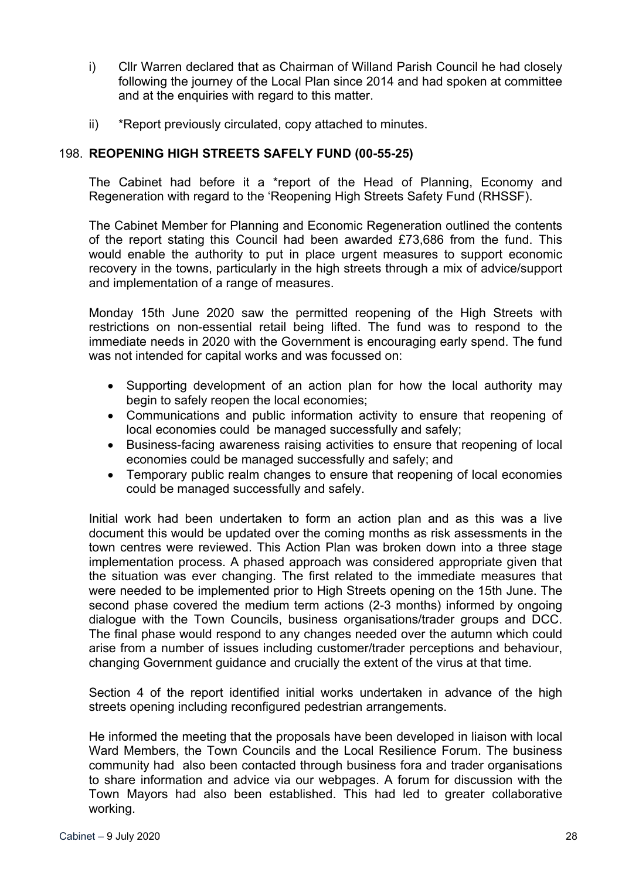- i) Cllr Warren declared that as Chairman of Willand Parish Council he had closely following the journey of the Local Plan since 2014 and had spoken at committee and at the enquiries with regard to this matter.
- ii) \*Report previously circulated, copy attached to minutes.

# 198. **REOPENING HIGH STREETS SAFELY FUND (00-55-25)**

The Cabinet had before it a \*report of the Head of Planning, Economy and Regeneration with regard to the 'Reopening High Streets Safety Fund (RHSSF).

The Cabinet Member for Planning and Economic Regeneration outlined the contents of the report stating this Council had been awarded £73,686 from the fund. This would enable the authority to put in place urgent measures to support economic recovery in the towns, particularly in the high streets through a mix of advice/support and implementation of a range of measures.

Monday 15th June 2020 saw the permitted reopening of the High Streets with restrictions on non-essential retail being lifted. The fund was to respond to the immediate needs in 2020 with the Government is encouraging early spend. The fund was not intended for capital works and was focussed on:

- Supporting development of an action plan for how the local authority may begin to safely reopen the local economies;
- Communications and public information activity to ensure that reopening of local economies could be managed successfully and safely;
- Business-facing awareness raising activities to ensure that reopening of local economies could be managed successfully and safely; and
- Temporary public realm changes to ensure that reopening of local economies could be managed successfully and safely.

Initial work had been undertaken to form an action plan and as this was a live document this would be updated over the coming months as risk assessments in the town centres were reviewed. This Action Plan was broken down into a three stage implementation process. A phased approach was considered appropriate given that the situation was ever changing. The first related to the immediate measures that were needed to be implemented prior to High Streets opening on the 15th June. The second phase covered the medium term actions (2-3 months) informed by ongoing dialogue with the Town Councils, business organisations/trader groups and DCC. The final phase would respond to any changes needed over the autumn which could arise from a number of issues including customer/trader perceptions and behaviour, changing Government guidance and crucially the extent of the virus at that time.

Section 4 of the report identified initial works undertaken in advance of the high streets opening including reconfigured pedestrian arrangements.

He informed the meeting that the proposals have been developed in liaison with local Ward Members, the Town Councils and the Local Resilience Forum. The business community had also been contacted through business fora and trader organisations to share information and advice via our webpages. A forum for discussion with the Town Mayors had also been established. This had led to greater collaborative working.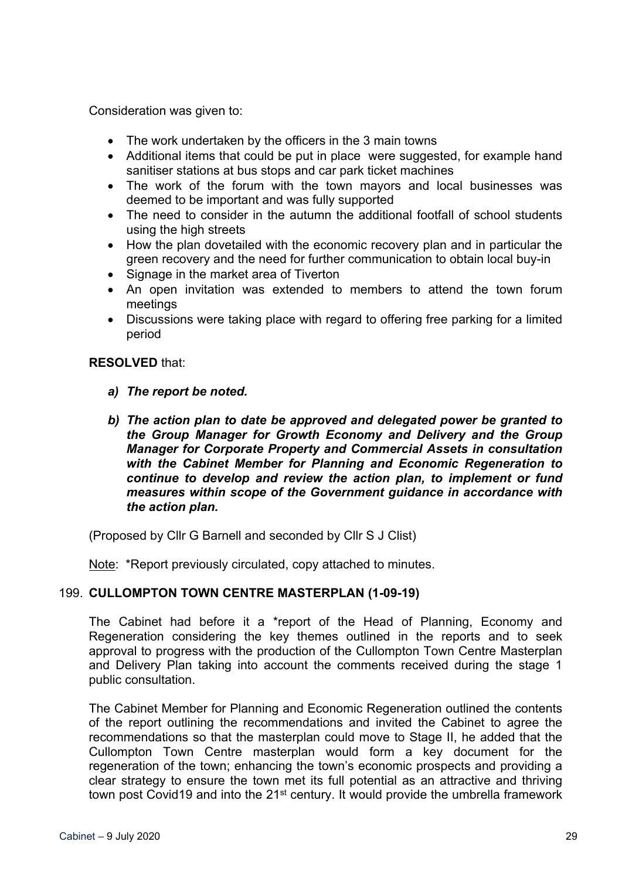Consideration was given to:

- The work undertaken by the officers in the 3 main towns
- Additional items that could be put in place were suggested, for example hand sanitiser stations at bus stops and car park ticket machines
- The work of the forum with the town mayors and local businesses was deemed to be important and was fully supported
- The need to consider in the autumn the additional footfall of school students using the high streets
- How the plan dovetailed with the economic recovery plan and in particular the green recovery and the need for further communication to obtain local buy-in
- Signage in the market area of Tiverton
- An open invitation was extended to members to attend the town forum meetings
- Discussions were taking place with regard to offering free parking for a limited period

## **RESOLVED** that:

- *a) The report be noted.*
- *b) The action plan to date be approved and delegated power be granted to the Group Manager for Growth Economy and Delivery and the Group Manager for Corporate Property and Commercial Assets in consultation with the Cabinet Member for Planning and Economic Regeneration to continue to develop and review the action plan, to implement or fund measures within scope of the Government guidance in accordance with the action plan.*

(Proposed by Cllr G Barnell and seconded by Cllr S J Clist)

Note: \*Report previously circulated, copy attached to minutes.

# 199. **CULLOMPTON TOWN CENTRE MASTERPLAN (1-09-19)**

The Cabinet had before it a \*report of the Head of Planning, Economy and Regeneration considering the key themes outlined in the reports and to seek approval to progress with the production of the Cullompton Town Centre Masterplan and Delivery Plan taking into account the comments received during the stage 1 public consultation.

The Cabinet Member for Planning and Economic Regeneration outlined the contents of the report outlining the recommendations and invited the Cabinet to agree the recommendations so that the masterplan could move to Stage II, he added that the Cullompton Town Centre masterplan would form a key document for the regeneration of the town; enhancing the town's economic prospects and providing a clear strategy to ensure the town met its full potential as an attractive and thriving town post Covid19 and into the 21<sup>st</sup> century. It would provide the umbrella framework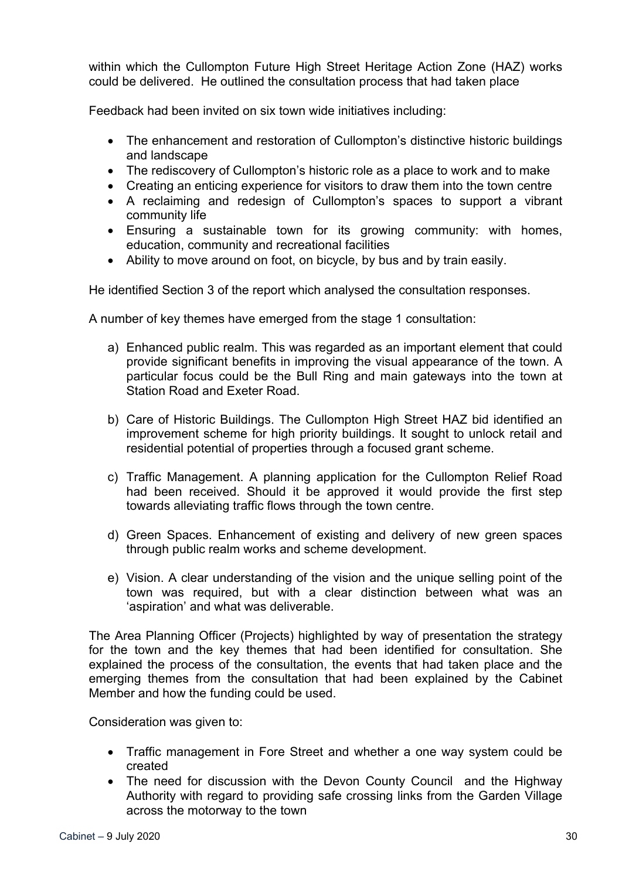within which the Cullompton Future High Street Heritage Action Zone (HAZ) works could be delivered. He outlined the consultation process that had taken place

Feedback had been invited on six town wide initiatives including:

- The enhancement and restoration of Cullompton's distinctive historic buildings and landscape
- The rediscovery of Cullompton's historic role as a place to work and to make
- Creating an enticing experience for visitors to draw them into the town centre
- A reclaiming and redesign of Cullompton's spaces to support a vibrant community life
- Ensuring a sustainable town for its growing community: with homes, education, community and recreational facilities
- Ability to move around on foot, on bicycle, by bus and by train easily.

He identified Section 3 of the report which analysed the consultation responses.

A number of key themes have emerged from the stage 1 consultation:

- a) Enhanced public realm. This was regarded as an important element that could provide significant benefits in improving the visual appearance of the town. A particular focus could be the Bull Ring and main gateways into the town at Station Road and Exeter Road.
- b) Care of Historic Buildings. The Cullompton High Street HAZ bid identified an improvement scheme for high priority buildings. It sought to unlock retail and residential potential of properties through a focused grant scheme.
- c) Traffic Management. A planning application for the Cullompton Relief Road had been received. Should it be approved it would provide the first step towards alleviating traffic flows through the town centre.
- d) Green Spaces. Enhancement of existing and delivery of new green spaces through public realm works and scheme development.
- e) Vision. A clear understanding of the vision and the unique selling point of the town was required, but with a clear distinction between what was an 'aspiration' and what was deliverable.

The Area Planning Officer (Projects) highlighted by way of presentation the strategy for the town and the key themes that had been identified for consultation. She explained the process of the consultation, the events that had taken place and the emerging themes from the consultation that had been explained by the Cabinet Member and how the funding could be used.

Consideration was given to:

- Traffic management in Fore Street and whether a one way system could be created
- The need for discussion with the Devon County Council and the Highway Authority with regard to providing safe crossing links from the Garden Village across the motorway to the town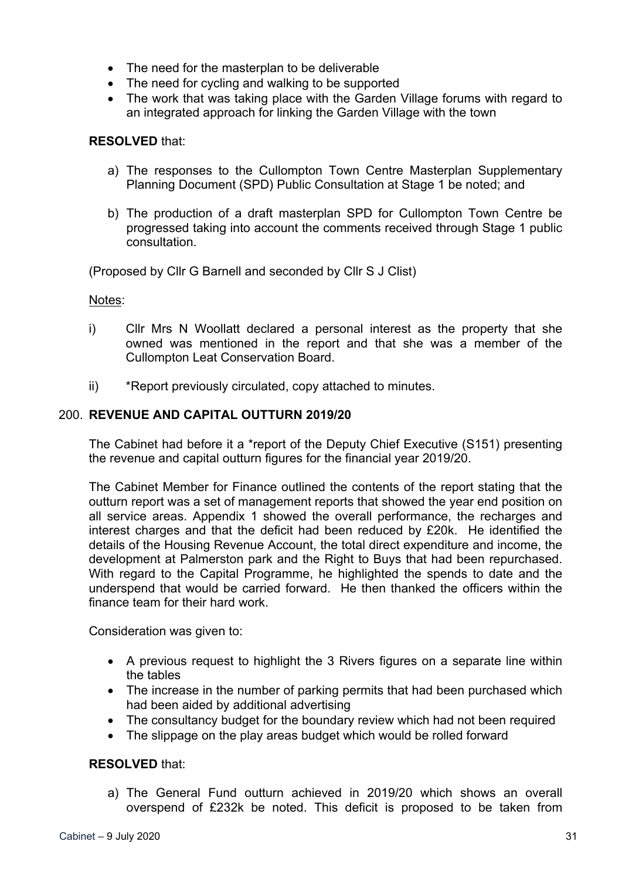- The need for the masterplan to be deliverable
- The need for cycling and walking to be supported
- The work that was taking place with the Garden Village forums with regard to an integrated approach for linking the Garden Village with the town

## **RESOLVED** that:

- a) The responses to the Cullompton Town Centre Masterplan Supplementary Planning Document (SPD) Public Consultation at Stage 1 be noted; and
- b) The production of a draft masterplan SPD for Cullompton Town Centre be progressed taking into account the comments received through Stage 1 public consultation.

(Proposed by Cllr G Barnell and seconded by Cllr S J Clist)

Notes:

- i) Cllr Mrs N Woollatt declared a personal interest as the property that she owned was mentioned in the report and that she was a member of the Cullompton Leat Conservation Board.
- ii) \*Report previously circulated, copy attached to minutes.

# 200. **REVENUE AND CAPITAL OUTTURN 2019/20**

The Cabinet had before it a \*report of the Deputy Chief Executive (S151) presenting the revenue and capital outturn figures for the financial year 2019/20.

The Cabinet Member for Finance outlined the contents of the report stating that the outturn report was a set of management reports that showed the year end position on all service areas. Appendix 1 showed the overall performance, the recharges and interest charges and that the deficit had been reduced by £20k. He identified the details of the Housing Revenue Account, the total direct expenditure and income, the development at Palmerston park and the Right to Buys that had been repurchased. With regard to the Capital Programme, he highlighted the spends to date and the underspend that would be carried forward. He then thanked the officers within the finance team for their hard work.

Consideration was given to:

- A previous request to highlight the 3 Rivers figures on a separate line within the tables
- The increase in the number of parking permits that had been purchased which had been aided by additional advertising
- The consultancy budget for the boundary review which had not been required
- The slippage on the play areas budget which would be rolled forward

## **RESOLVED** that:

a) The General Fund outturn achieved in 2019/20 which shows an overall overspend of £232k be noted. This deficit is proposed to be taken from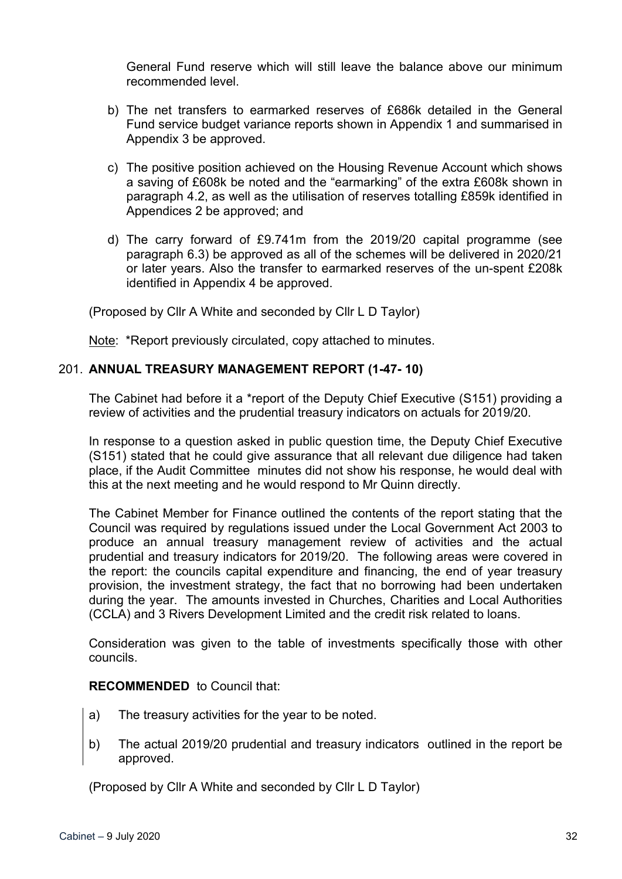General Fund reserve which will still leave the balance above our minimum recommended level.

- b) The net transfers to earmarked reserves of £686k detailed in the General Fund service budget variance reports shown in Appendix 1 and summarised in Appendix 3 be approved.
- c) The positive position achieved on the Housing Revenue Account which shows a saving of £608k be noted and the "earmarking" of the extra £608k shown in paragraph 4.2, as well as the utilisation of reserves totalling £859k identified in Appendices 2 be approved; and
- d) The carry forward of £9.741m from the 2019/20 capital programme (see paragraph 6.3) be approved as all of the schemes will be delivered in 2020/21 or later years. Also the transfer to earmarked reserves of the un-spent £208k identified in Appendix 4 be approved.

(Proposed by Cllr A White and seconded by Cllr L D Taylor)

Note: \*Report previously circulated, copy attached to minutes.

# 201. **ANNUAL TREASURY MANAGEMENT REPORT (1-47- 10)**

The Cabinet had before it a \*report of the Deputy Chief Executive (S151) providing a review of activities and the prudential treasury indicators on actuals for 2019/20.

In response to a question asked in public question time, the Deputy Chief Executive (S151) stated that he could give assurance that all relevant due diligence had taken place, if the Audit Committee minutes did not show his response, he would deal with this at the next meeting and he would respond to Mr Quinn directly.

The Cabinet Member for Finance outlined the contents of the report stating that the Council was required by regulations issued under the Local Government Act 2003 to produce an annual treasury management review of activities and the actual prudential and treasury indicators for 2019/20. The following areas were covered in the report: the councils capital expenditure and financing, the end of year treasury provision, the investment strategy, the fact that no borrowing had been undertaken during the year. The amounts invested in Churches, Charities and Local Authorities (CCLA) and 3 Rivers Development Limited and the credit risk related to loans.

Consideration was given to the table of investments specifically those with other councils.

## **RECOMMENDED** to Council that:

- a) The treasury activities for the year to be noted.
- b) The actual 2019/20 prudential and treasury indicators outlined in the report be approved.

(Proposed by Cllr A White and seconded by Cllr L D Taylor)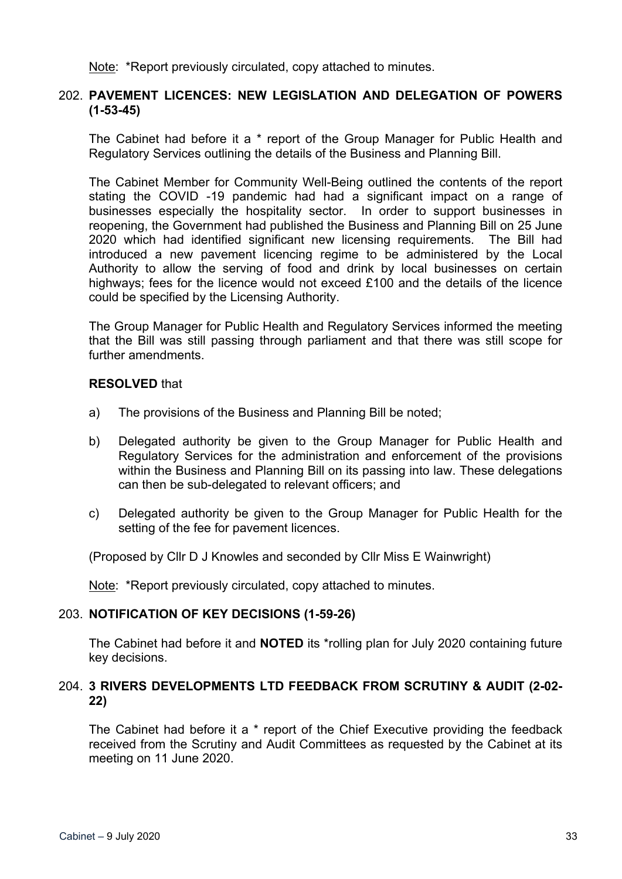Note: \*Report previously circulated, copy attached to minutes.

### 202. **PAVEMENT LICENCES: NEW LEGISLATION AND DELEGATION OF POWERS (1-53-45)**

The Cabinet had before it a \* report of the Group Manager for Public Health and Regulatory Services outlining the details of the Business and Planning Bill.

The Cabinet Member for Community Well-Being outlined the contents of the report stating the COVID -19 pandemic had had a significant impact on a range of businesses especially the hospitality sector. In order to support businesses in reopening, the Government had published the Business and Planning Bill on 25 June 2020 which had identified significant new licensing requirements. The Bill had introduced a new pavement licencing regime to be administered by the Local Authority to allow the serving of food and drink by local businesses on certain highways; fees for the licence would not exceed £100 and the details of the licence could be specified by the Licensing Authority.

The Group Manager for Public Health and Regulatory Services informed the meeting that the Bill was still passing through parliament and that there was still scope for further amendments.

### **RESOLVED** that

- a) The provisions of the Business and Planning Bill be noted;
- b) Delegated authority be given to the Group Manager for Public Health and Regulatory Services for the administration and enforcement of the provisions within the Business and Planning Bill on its passing into law. These delegations can then be sub-delegated to relevant officers; and
- c) Delegated authority be given to the Group Manager for Public Health for the setting of the fee for pavement licences.

(Proposed by Cllr D J Knowles and seconded by Cllr Miss E Wainwright)

Note: \*Report previously circulated, copy attached to minutes.

## 203. **NOTIFICATION OF KEY DECISIONS (1-59-26)**

The Cabinet had before it and **NOTED** its \*rolling plan for July 2020 containing future key decisions.

## 204. **3 RIVERS DEVELOPMENTS LTD FEEDBACK FROM SCRUTINY & AUDIT (2-02- 22)**

The Cabinet had before it a \* report of the Chief Executive providing the feedback received from the Scrutiny and Audit Committees as requested by the Cabinet at its meeting on 11 June 2020.